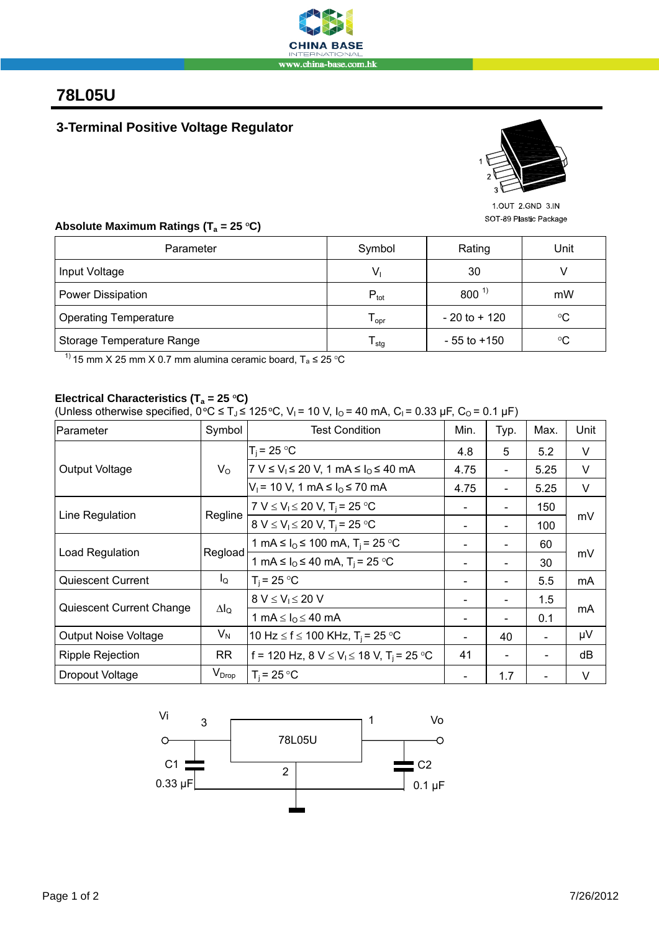

## **78L05U**

### **3-Terminal Positive Voltage Regulator**



1 OUT 2 GND 3 IN SOT-89 Plastic Package

#### Absolute Maximum Ratings (T<sub>a</sub> = 25 °C)

| Parameter                    | Symbol                      | Rating          | Unit        |  |
|------------------------------|-----------------------------|-----------------|-------------|--|
| Input Voltage                | V,                          | 30              |             |  |
| Power Dissipation            | $P_{\text{tot}}$            | $800^{1}$       | mW          |  |
| <b>Operating Temperature</b> | $\mathsf{T}_{\mathsf{opr}}$ | $-20$ to $+120$ | $^{\circ}C$ |  |
| Storage Temperature Range    | $\mathsf{I}$ stg            | $-55$ to $+150$ | $^{\circ}C$ |  |

<sup>1)</sup> 15 mm X 25 mm X 0.7 mm alumina ceramic board,  $T_a \le 25$  °C

### Electrical Characteristics (T<sub>a</sub> = 25 °C)

(Unless otherwise specified,  $0^{\circ}C \leq T_J \leq 125^{\circ}C$ ,  $V_I$  = 10 V,  $I_O$  = 40 mA,  $C_I$  = 0.33 µF,  $C_O$  = 0.1 µF)

| Parameter                   | Symbol       | <b>Test Condition</b>                                                     | Min.                         | Typ.                     | Max.           | Unit |
|-----------------------------|--------------|---------------------------------------------------------------------------|------------------------------|--------------------------|----------------|------|
| Output Voltage              | $V_{\rm O}$  | $T_i = 25 °C$                                                             | 4.8                          | 5                        | 5.2            | V    |
|                             |              | 7 V ≤ V <sub>1</sub> ≤ 20 V, 1 mA ≤ I <sub>0</sub> ≤ 40 mA                | 4.75                         | $\overline{a}$           | 5.25           | V    |
|                             |              | $V_1$ = 10 V, 1 mA ≤ $I_0$ ≤ 70 mA                                        | 4.75                         |                          | 5.25           | V    |
| Line Regulation             | Regline      | 7 V $\leq$ V <sub>1</sub> $\leq$ 20 V, T <sub>i</sub> = 25 °C             | $\qquad \qquad \blacksquare$ | $\blacksquare$           | 150            | mV   |
|                             |              | 8 V $\leq$ V <sub>1</sub> $\leq$ 20 V, T <sub>i</sub> = 25 °C             | $\qquad \qquad \blacksquare$ | -                        | 100            |      |
| Load Regulation             | Regload      | 1 mA $\leq I_0 \leq 100$ mA, T <sub>i</sub> = 25 °C                       |                              |                          | 60             | mV   |
|                             |              | 1 mA $\leq I_0 \leq 40$ mA, T <sub>i</sub> = 25 °C                        |                              |                          | 30             |      |
| <b>Quiescent Current</b>    | $I_{\rm Q}$  | $T_i = 25 °C$                                                             |                              |                          | 5.5            | mA   |
| Quiescent Current Change    | $\Delta I_Q$ | $8 V \leq V_1 \leq 20 V$                                                  |                              |                          | 1.5            | mA   |
|                             |              | 1 mA $\leq$ $I0 \leq 40$ mA                                               |                              | $\overline{\phantom{0}}$ | 0.1            |      |
| <b>Output Noise Voltage</b> | $V_N$        | 10 Hz $\leq$ f $\leq$ 100 KHz, T <sub>i</sub> = 25 °C                     |                              | 40                       | $\blacksquare$ | μV   |
| <b>Ripple Rejection</b>     | RR           | f = 120 Hz, 8 V $\leq$ V <sub>1</sub> $\leq$ 18 V, T <sub>i</sub> = 25 °C | 41                           |                          |                | dB   |
| Dropout Voltage             | $V_{Drop}$   | $T_i = 25 °C$                                                             |                              | 1.7                      |                | V    |